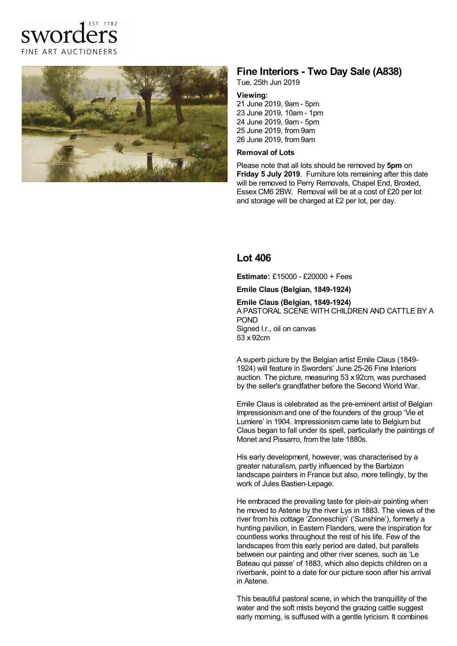



# **Fine Interiors - Two Day Sale (A838)**

Tue, 25th Jun 2019

### **Viewing:**

 June 2019, 9am -5pm June 2019, 10am - 1pm 24 June 2019, 9am - 5pm June 2019, from 9am June 2019, from 9am

#### **Removal of Lots**

Please note that all lots should be removed by **5pm** on **Friday 5 July 2019**. Furniture lots remaining after this date will be removed to Perry Removals, Chapel End, Broxted, Essex CM6 2BW. Removal will be at a cost of £20 per lot and storage will be charged at £2 per lot, per day.

## **Lot 406**

**Estimate:** £15000 - £20000 + Fees

**Emile Claus (Belgian, 1849-1924)**

**Emile Claus (Belgian, 1849-1924)** A PASTORAL SCENE WITH CHILDREN AND CATTLE BY A POND

Signed l.r., oil on canvas 53 x 92cm

A superb picture by the Belgian artist Emile Claus (1849- 1924) will feature in Sworders' June 25-26 Fine Interiors auction. The picture, measuring 53 x 92cm, was purchased by the seller's grandfather before the Second World War.

Emile Claus is celebrated as the pre-eminent artist of Belgian Impressionism and one of the founders of the group 'Vie et Lumiere' in 1904. Impressionism came late to Belgium but Claus began to fall under its spell, particularly the paintings of Monet and Pissarro, from the late 1880s.

His early development, however, was characterised by a greater naturalism, partly influenced by the Barbizon landscape painters in France but also, more tellingly, by the work of Jules Bastien-Lepage.

He embraced the prevailing taste for plein-air painting when he moved to Astene by the river Lys in 1883. The views of the river from his cottage 'Zonneschijn' ('Sunshine'), formerly a hunting pavilion, in Eastern Flanders, were the inspiration for countless works throughout the rest of his life. Few of the landscapes from this early period are dated, but parallels between our painting and other river scenes, such as 'Le Bateau qui passe' of 1883, which also depicts children on a riverbank, point to a date for our picture soon after his arrival in Astene.

This beautiful pastoral scene, in which the tranquillity of the water and the soft mists beyond the grazing cattle suggest early morning, is suffused with a gentle lyricism. It combines